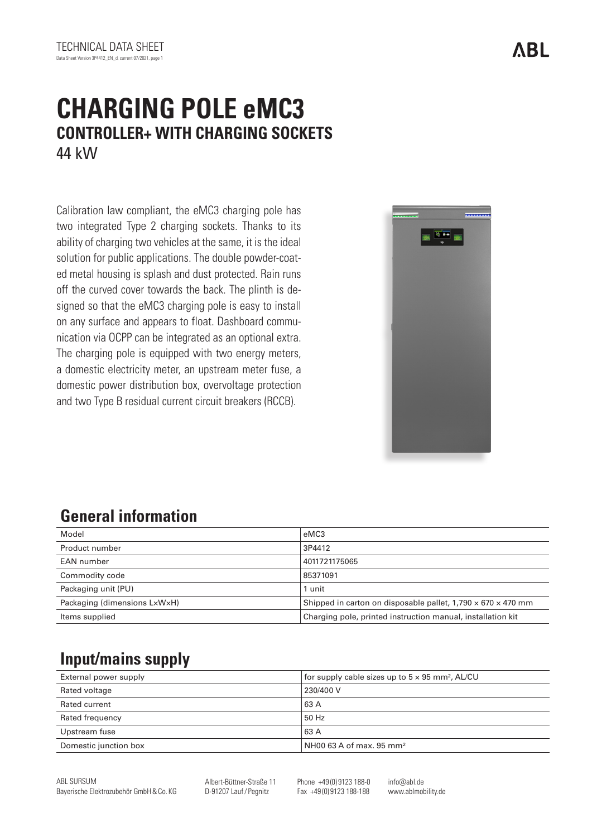# **CHARGING POLE eMC3 CONTROLLER+ WITH CHARGING SOCKETS** 44 kW

Calibration law compliant, the eMC3 charging pole has two integrated Type 2 charging sockets. Thanks to its ability of charging two vehicles at the same, it is the ideal solution for public applications. The double powder-coated metal housing is splash and dust protected. Rain runs off the curved cover towards the back. The plinth is designed so that the eMC3 charging pole is easy to install on any surface and appears to float. Dashboard communication via OCPP can be integrated as an optional extra. The charging pole is equipped with two energy meters, a domestic electricity meter, an upstream meter fuse, a domestic power distribution box, overvoltage protection and two Type B residual current circuit breakers (RCCB).



### **General information**

| Model                        | eMC3                                                                     |
|------------------------------|--------------------------------------------------------------------------|
| Product number               | 3P4412                                                                   |
| EAN number                   | 4011721175065                                                            |
| Commodity code               | 85371091                                                                 |
| Packaging unit (PU)          | 1 unit                                                                   |
| Packaging (dimensions LxWxH) | Shipped in carton on disposable pallet, $1,790 \times 670 \times 470$ mm |
| Items supplied               | Charging pole, printed instruction manual, installation kit              |

### **Input/mains supply**

| External power supply | for supply cable sizes up to $5 \times 95$ mm <sup>2</sup> , AL/CU |
|-----------------------|--------------------------------------------------------------------|
| Rated voltage         | 230/400 V                                                          |
| Rated current         | 63 A                                                               |
| Rated frequency       | 50 Hz                                                              |
| Upstream fuse         | 63 A                                                               |
| Domestic junction box | NH00 63 A of max. 95 mm²                                           |

Albert-Büttner-Straße 11 D-91207 Lauf/ Pegnitz

Phone +49 (0) 9123 188-0 Fax +49 (0) 9123 188-188

info@abl.de www.ablmobility.de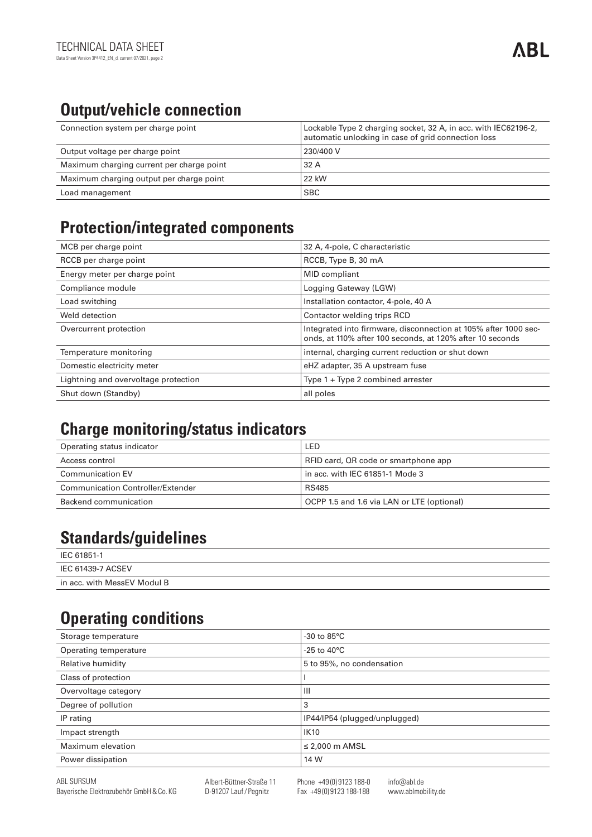# **Output/vehicle connection**

| Connection system per charge point        | Lockable Type 2 charging socket, 32 A, in acc. with IEC62196-2,<br>automatic unlocking in case of grid connection loss |
|-------------------------------------------|------------------------------------------------------------------------------------------------------------------------|
| Output voltage per charge point           | 230/400 V                                                                                                              |
| Maximum charging current per charge point | 32A                                                                                                                    |
| Maximum charging output per charge point  | 22 kW                                                                                                                  |
| Load management                           | <b>SBC</b>                                                                                                             |

#### **Protection/integrated components**

| MCB per charge point                 | 32 A, 4-pole, C characteristic                                                                                               |
|--------------------------------------|------------------------------------------------------------------------------------------------------------------------------|
| RCCB per charge point                | RCCB, Type B, 30 mA                                                                                                          |
| Energy meter per charge point        | MID compliant                                                                                                                |
| Compliance module                    | Logging Gateway (LGW)                                                                                                        |
| Load switching                       | Installation contactor, 4-pole, 40 A                                                                                         |
| Weld detection                       | Contactor welding trips RCD                                                                                                  |
| Overcurrent protection               | Integrated into firmware, disconnection at 105% after 1000 sec-<br>onds, at 110% after 100 seconds, at 120% after 10 seconds |
| Temperature monitoring               | internal, charging current reduction or shut down                                                                            |
| Domestic electricity meter           | eHZ adapter, 35 A upstream fuse                                                                                              |
| Lightning and overvoltage protection | Type $1 + Type 2$ combined arrester                                                                                          |
| Shut down (Standby)                  | all poles                                                                                                                    |

#### **Charge monitoring/status indicators**

| Operating status indicator        | LED                                        |
|-----------------------------------|--------------------------------------------|
| Access control                    | RFID card, QR code or smartphone app       |
| <b>Communication EV</b>           | in acc. with IEC 61851-1 Mode 3            |
| Communication Controller/Extender | RS485                                      |
| Backend communication             | OCPP 1.5 and 1.6 via LAN or LTE (optional) |

### **Standards/guidelines**

| IEC 61851-1                 |
|-----------------------------|
| IEC 61439-7 ACSEV           |
| in acc. with MessEV Modul B |

### **Operating conditions**

| Storage temperature   | $-30$ to $85^{\circ}$ C       |
|-----------------------|-------------------------------|
| Operating temperature | $-25$ to 40 $^{\circ}$ C      |
| Relative humidity     | 5 to 95%, no condensation     |
| Class of protection   |                               |
| Overvoltage category  | $\mathbf{III}$                |
| Degree of pollution   | 3                             |
| IP rating             | IP44/IP54 (plugged/unplugged) |
| Impact strength       | <b>IK10</b>                   |
| Maximum elevation     | $\leq$ 2,000 m AMSL           |
| Power dissipation     | 14 W                          |
|                       |                               |

info@abl.de www.ablmobility.de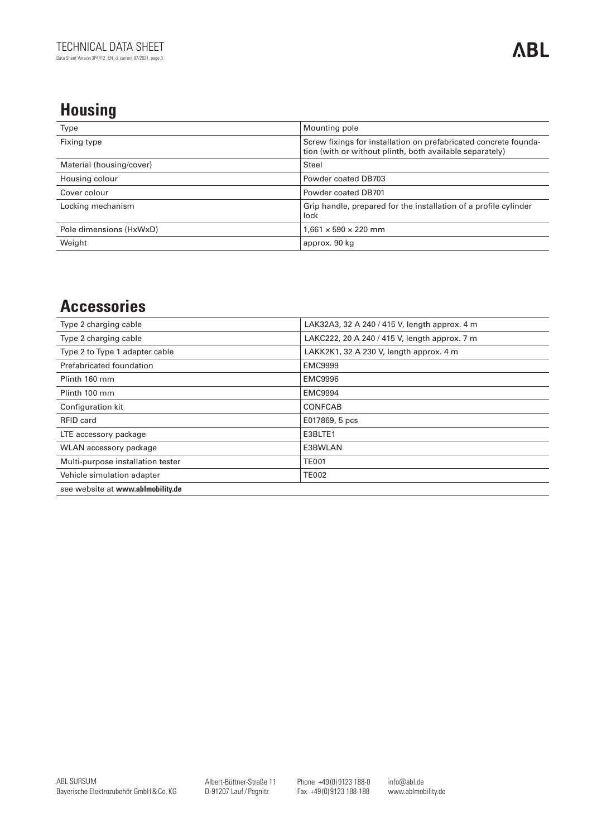## **Housing**

| Type                     | Mounting pole                                                                                                                |
|--------------------------|------------------------------------------------------------------------------------------------------------------------------|
| Fixing type              | Screw fixings for installation on prefabricated concrete founda-<br>tion (with or without plinth, both available separately) |
| Material (housing/cover) | Steel                                                                                                                        |
| Housing colour           | Powder coated DB703                                                                                                          |
| Cover colour             | Powder coated DB701                                                                                                          |
| Locking mechanism        | Grip handle, prepared for the installation of a profile cylinder<br>lock                                                     |
| Pole dimensions (HxWxD)  | $1,661 \times 590 \times 220$ mm                                                                                             |
| Weight                   | approx. 90 kg                                                                                                                |

#### **Accessories**

| Type 2 charging cable             | LAK32A3, 32 A 240 / 415 V, length approx. 4 m |
|-----------------------------------|-----------------------------------------------|
| Type 2 charging cable             | LAKC222, 20 A 240 / 415 V, length approx. 7 m |
| Type 2 to Type 1 adapter cable    | LAKK2K1, 32 A 230 V, length approx. 4 m       |
| Prefabricated foundation          | <b>EMC9999</b>                                |
| Plinth 160 mm                     | <b>EMC9996</b>                                |
| Plinth 100 mm                     | <b>EMC9994</b>                                |
| Configuration kit                 | CONFCAB                                       |
| RFID card                         | E017869, 5 pcs                                |
| LTE accessory package             | E3BLTE1                                       |
| WLAN accessory package            | E3BWLAN                                       |
| Multi-purpose installation tester | <b>TE001</b>                                  |
| Vehicle simulation adapter        | <b>TE002</b>                                  |
| see website at www.ablmobility.de |                                               |